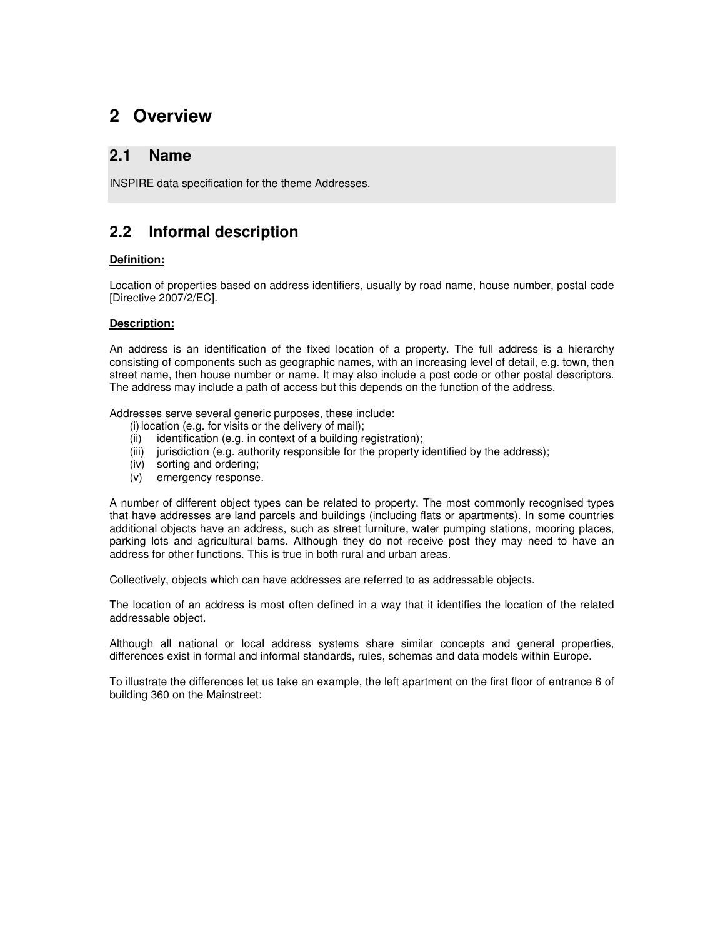# **2 Overview**

### **2.1 Name**

INSPIRE data specification for the theme Addresses.

## **2.2 Informal description**

#### **Definition:**

Location of properties based on address identifiers, usually by road name, house number, postal code [Directive 2007/2/EC].

#### **Description:**

An address is an identification of the fixed location of a property. The full address is a hierarchy consisting of components such as geographic names, with an increasing level of detail, e.g. town, then street name, then house number or name. It may also include a post code or other postal descriptors. The address may include a path of access but this depends on the function of the address.

Addresses serve several generic purposes, these include:

- $(i)$  location (e.g. for visits or the delivery of mail);
- (ii) identification (e.g. in context of a building registration);
- (iii) jurisdiction (e.g. authority responsible for the property identified by the address);
- (iv) sorting and ordering;
- (v) emergency response.

A number of different object types can be related to property. The most commonly recognised types that have addresses are land parcels and buildings (including flats or apartments). In some countries additional objects have an address, such as street furniture, water pumping stations, mooring places, parking lots and agricultural barns. Although they do not receive post they may need to have an address for other functions. This is true in both rural and urban areas.

Collectively, objects which can have addresses are referred to as addressable objects.

The location of an address is most often defined in a way that it identifies the location of the related addressable object.

Although all national or local address systems share similar concepts and general properties, differences exist in formal and informal standards, rules, schemas and data models within Europe.

To illustrate the differences let us take an example, the left apartment on the first floor of entrance 6 of building 360 on the Mainstreet: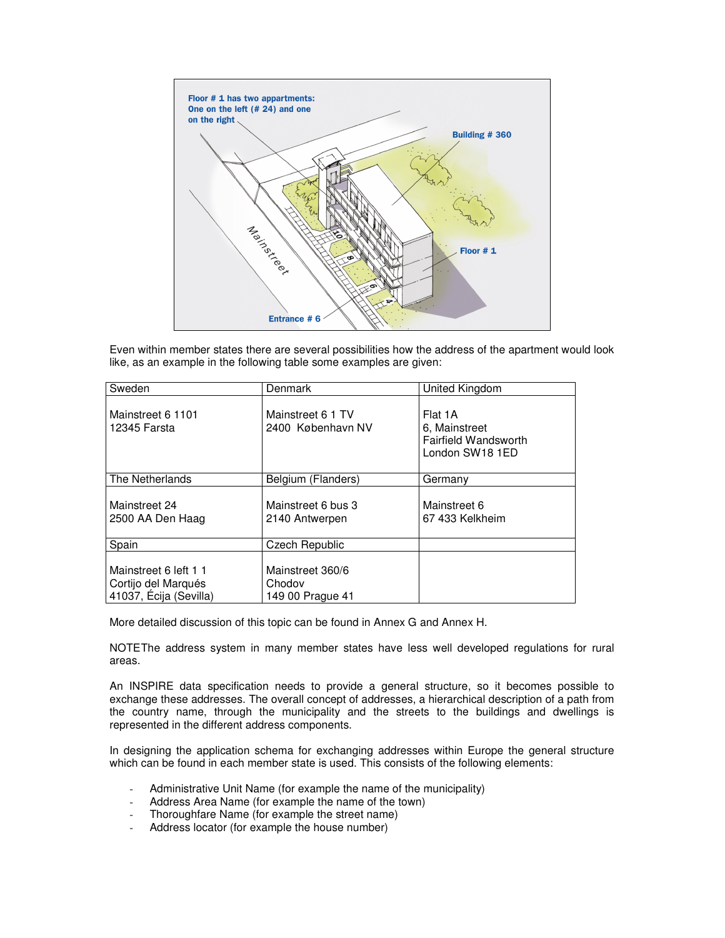

Even within member states there are several possibilities how the address of the apartment would look like, as an example in the following table some examples are given:

| Sweden                                                                 | Denmark                                        | United Kingdom                                                             |
|------------------------------------------------------------------------|------------------------------------------------|----------------------------------------------------------------------------|
| Mainstreet 6 1101<br>12345 Farsta                                      | Mainstreet 6 1 TV<br>2400 København NV         | Flat 1A<br>6. Mainstreet<br><b>Fairfield Wandsworth</b><br>London SW18 1ED |
| The Netherlands                                                        | Belgium (Flanders)                             | Germanv                                                                    |
| Mainstreet 24<br>2500 AA Den Haag                                      | Mainstreet 6 bus 3<br>2140 Antwerpen           | Mainstreet 6<br>67 433 Kelkheim                                            |
| Spain                                                                  | Czech Republic                                 |                                                                            |
| Mainstreet 6 left 1 1<br>Cortijo del Marqués<br>41037, Écija (Sevilla) | Mainstreet 360/6<br>Chodov<br>149 00 Prague 41 |                                                                            |

More detailed discussion of this topic can be found in Annex G and Annex H.

NOTE The address system in many member states have less well developed regulations for rural areas.

An INSPIRE data specification needs to provide a general structure, so it becomes possible to exchange these addresses. The overall concept of addresses, a hierarchical description of a path from the country name, through the municipality and the streets to the buildings and dwellings is represented in the different address components.

In designing the application schema for exchanging addresses within Europe the general structure which can be found in each member state is used. This consists of the following elements:

- Administrative Unit Name (for example the name of the municipality)
- Address Area Name (for example the name of the town)
- Thoroughfare Name (for example the street name)
- Address locator (for example the house number)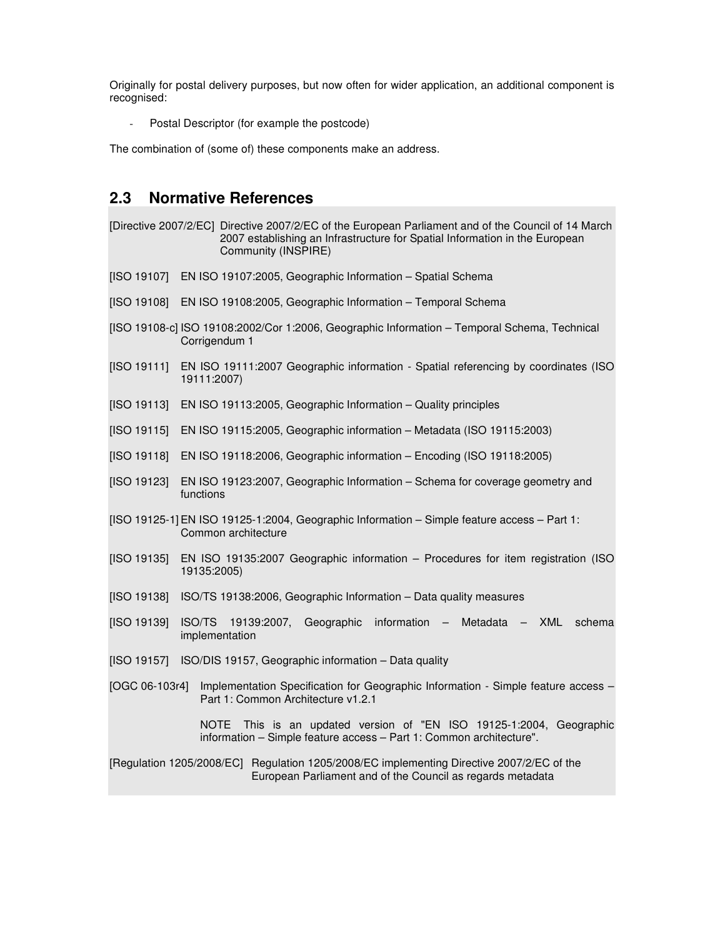Originally for postal delivery purposes, but now often for wider application, an additional component is recognised:

Postal Descriptor (for example the postcode)

The combination of (some of) these components make an address.

## **2.3 Normative References**

[Directive 2007/2/EC] Directive 2007/2/EC of the European Parliament and of the Council of 14 March 2007 establishing an Infrastructure for Spatial Information in the European Community (INSPIRE) [ISO 19107] EN ISO 19107:2005, Geographic Information – Spatial Schema [ISO 19108] EN ISO 19108:2005, Geographic Information – Temporal Schema [ISO 19108-c] ISO 19108:2002/Cor 1:2006, Geographic Information – Temporal Schema, Technical Corrigendum 1 [ISO 19111] EN ISO 19111:2007 Geographic information - Spatial referencing by coordinates (ISO 19111:2007) [ISO 19113] EN ISO 19113:2005, Geographic Information - Quality principles [ISO 19115] EN ISO 19115:2005, Geographic information – Metadata (ISO 19115:2003) [ISO 19118] EN ISO 19118:2006, Geographic information – Encoding (ISO 19118:2005) [ISO 19123] EN ISO 19123:2007, Geographic Information – Schema for coverage geometry and functions [ISO 19125-1] EN ISO 19125-1:2004, Geographic Information – Simple feature access – Part 1: Common architecture [ISO 19135] EN ISO 19135:2007 Geographic information – Procedures for item registration (ISO 19135:2005) [ISO 19138] ISO/TS 19138:2006, Geographic Information – Data quality measures [ISO 19139] ISO/TS 19139:2007, Geographic information – Metadata – XML schema implementation [ISO 19157] ISO/DIS 19157, Geographic information – Data quality [OGC 06-103r4] Implementation Specification for Geographic Information - Simple feature access – Part 1: Common Architecture v1.2.1 NOTE This is an updated version of "EN ISO 19125-1:2004, Geographic information – Simple feature access – Part 1: Common architecture". [Regulation 1205/2008/EC] Regulation 1205/2008/EC implementing Directive 2007/2/EC of the European Parliament and of the Council as regards metadata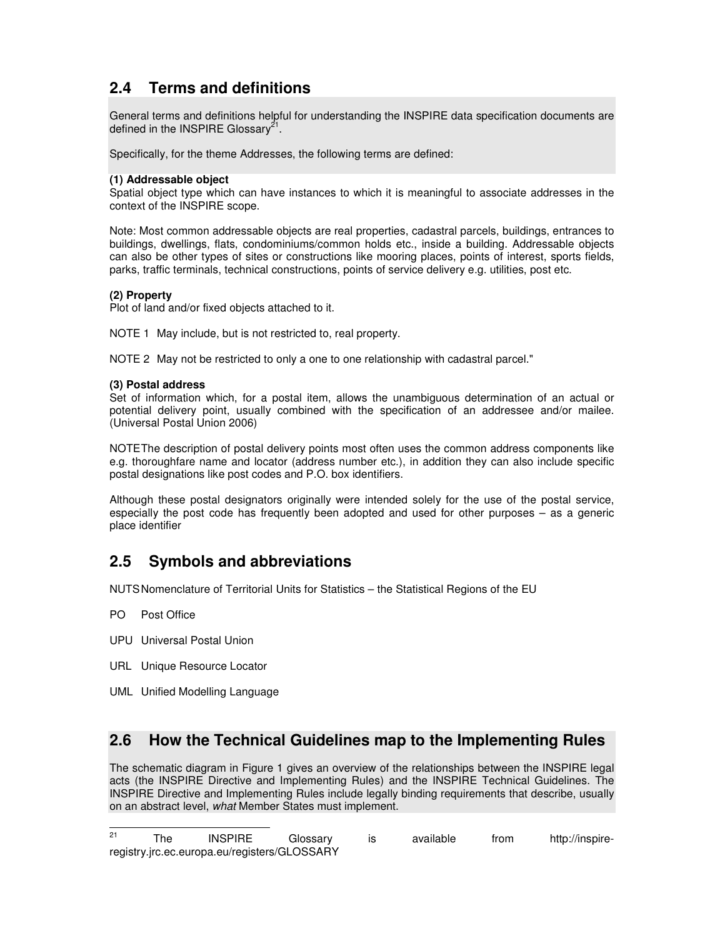# **2.4 Terms and definitions**

General terms and definitions helpful for understanding the INSPIRE data specification documents are defined in the INSPIRE Glossary $^{21}$ .

Specifically, for the theme Addresses, the following terms are defined:

#### **(1) Addressable object**

Spatial object type which can have instances to which it is meaningful to associate addresses in the context of the INSPIRE scope.

Note: Most common addressable objects are real properties, cadastral parcels, buildings, entrances to buildings, dwellings, flats, condominiums/common holds etc., inside a building. Addressable objects can also be other types of sites or constructions like mooring places, points of interest, sports fields, parks, traffic terminals, technical constructions, points of service delivery e.g. utilities, post etc.

#### **(2) Property**

Plot of land and/or fixed objects attached to it.

NOTE 1 May include, but is not restricted to, real property.

NOTE 2 May not be restricted to only a one to one relationship with cadastral parcel."

#### **(3) Postal address**

Set of information which, for a postal item, allows the unambiguous determination of an actual or potential delivery point, usually combined with the specification of an addressee and/or mailee. (Universal Postal Union 2006)

NOTE The description of postal delivery points most often uses the common address components like e.g. thoroughfare name and locator (address number etc.), in addition they can also include specific postal designations like post codes and P.O. box identifiers.

Although these postal designators originally were intended solely for the use of the postal service, especially the post code has frequently been adopted and used for other purposes – as a generic place identifier

### **2.5 Symbols and abbreviations**

NUTS Nomenclature of Territorial Units for Statistics – the Statistical Regions of the EU

- PO Post Office
- UPU Universal Postal Union
- URL Unique Resource Locator
- UML Unified Modelling Language

### **2.6 How the Technical Guidelines map to the Implementing Rules**

The schematic diagram in Figure 1 gives an overview of the relationships between the INSPIRE legal acts (the INSPIRE Directive and Implementing Rules) and the INSPIRE Technical Guidelines. The INSPIRE Directive and Implementing Rules include legally binding requirements that describe, usually on an abstract level, what Member States must implement.

 $21$ <sup>21</sup> The INSPIRE Glossary is available from http://inspireregistry.jrc.ec.europa.eu/registers/GLOSSARY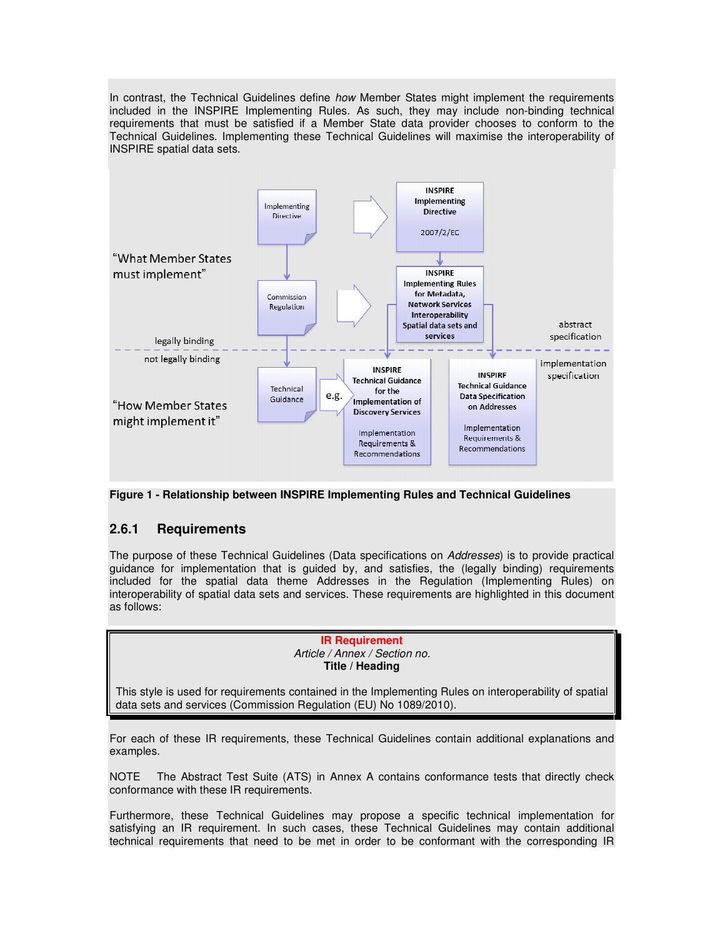In contrast, the Technical Guidelines define how Member States might implement the requirements included in the INSPIRE Implementing Rules. As such, they may include non-binding technical requirements that must be satisfied if a Member State data provider chooses to conform to the Technical Guidelines. Implementing these Technical Guidelines will maximise the interoperability of INSPIRE spatial data sets.



**Figure 1 - Relationship between INSPIRE Implementing Rules and Technical Guidelines** 

#### **2.6.1 Requirements**

The purpose of these Technical Guidelines (Data specifications on Addresses) is to provide practical guidance for implementation that is guided by, and satisfies, the (legally binding) requirements included for the spatial data theme Addresses in the Regulation (Implementing Rules) on interoperability of spatial data sets and services. These requirements are highlighted in this document as follows:

#### **IR Requirement**  Article / Annex / Section no. **Title / Heading**

This style is used for requirements contained in the Implementing Rules on interoperability of spatial data sets and services (Commission Regulation (EU) No 1089/2010).

For each of these IR requirements, these Technical Guidelines contain additional explanations and examples.

NOTE The Abstract Test Suite (ATS) in Annex A contains conformance tests that directly check conformance with these IR requirements.

Furthermore, these Technical Guidelines may propose a specific technical implementation for satisfying an IR requirement. In such cases, these Technical Guidelines may contain additional technical requirements that need to be met in order to be conformant with the corresponding IR